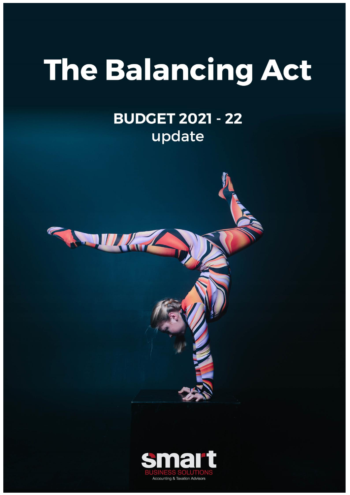# The Balancing Act

# **BUDGET 2021 - 22** update



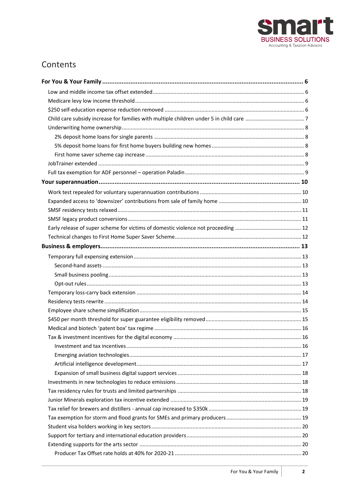

# Contents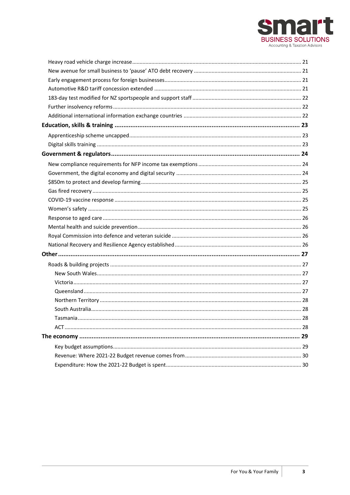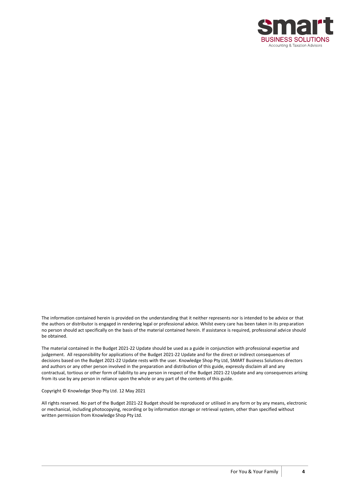

The information contained herein is provided on the understanding that it neither represents nor is intended to be advice or that the authors or distributor is engaged in rendering legal or professional advice. Whilst every care has been taken in its preparation no person should act specifically on the basis of the material contained herein. If assistance is required, professional advice should be obtained.

The material contained in the Budget 2021-22 Update should be used as a guide in conjunction with professional expertise and judgement. All responsibility for applications of the Budget 2021-22 Update and for the direct or indirect consequences of decisions based on the Budget 2021-22 Update rests with the user. Knowledge Shop Pty Ltd, SMART Business Solutions directors and authors or any other person involved in the preparation and distribution of this guide, expressly disclaim all and any contractual, tortious or other form of liability to any person in respect of the Budget 2021-22 Update and any consequences arising from its use by any person in reliance upon the whole or any part of the contents of this guide.

#### Copyright © Knowledge Shop Pty Ltd. 12 May 2021

All rights reserved. No part of the Budget 2021-22 Budget should be reproduced or utilised in any form or by any means, electronic or mechanical, including photocopying, recording or by information storage or retrieval system, other than specified without written permission from Knowledge Shop Pty Ltd.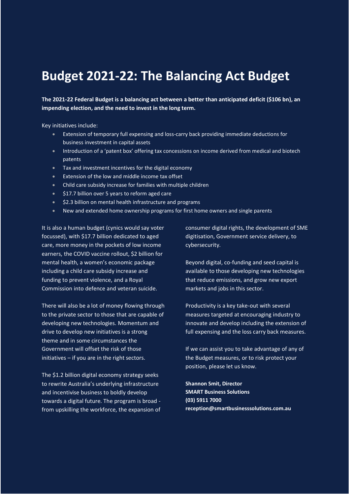# **Budget 2021-22: The Balancing Act Budget**

**The 2021-22 Federal Budget is a balancing act between a better than anticipated deficit (\$106 bn), an impending election, and the need to invest in the long term.**

Key initiatives include:

- Extension of temporary full expensing and loss-carry back providing immediate deductions for business investment in capital assets
- Introduction of a 'patent box' offering tax concessions on income derived from medical and biotech patents
- Tax and investment incentives for the digital economy
- Extension of the low and middle income tax offset
- Child care subsidy increase for families with multiple children
- \$17.7 billion over 5 years to reform aged care
- \$2.3 billion on mental health infrastructure and programs
- New and extended home ownership programs for first home owners and single parents

It is also a human budget (cynics would say voter focussed), with \$17.7 billion dedicated to aged care, more money in the pockets of low income earners, the COVID vaccine rollout, \$2 billion for mental health, a women's economic package including a child care subsidy increase and funding to prevent violence, and a Royal Commission into defence and veteran suicide.

There will also be a lot of money flowing through to the private sector to those that are capable of developing new technologies. Momentum and drive to develop new initiatives is a strong theme and in some circumstances the Government will offset the risk of those initiatives – if you are in the right sectors.

The \$1.2 billion digital economy strategy seeks to rewrite Australia's underlying infrastructure and incentivise business to boldly develop towards a digital future. The program is broad from upskilling the workforce, the expansion of consumer digital rights, the development of SME digitisation, Government service delivery, to cybersecurity.

Beyond digital, co-funding and seed capital is available to those developing new technologies that reduce emissions, and grow new export markets and jobs in this sector.

Productivity is a key take-out with several measures targeted at encouraging industry to innovate and develop including the extension of full expensing and the loss carry back measures.

If we can assist you to take advantage of any of the Budget measures, or to risk protect your position, please let us know.

**Shannon Smit, Director SMART Business Solutions (03) 5911 7000 reception@smartbusinesssolutions.com.au**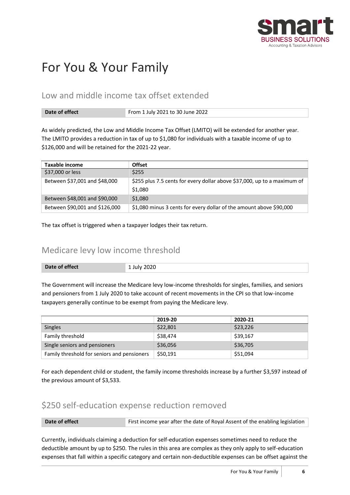

# <span id="page-5-0"></span>For You & Your Family

### <span id="page-5-1"></span>Low and middle income tax offset extended

| Date of effect | From 1 July 2021 to 30 June 2022 |
|----------------|----------------------------------|
|----------------|----------------------------------|

As widely predicted, the Low and Middle Income Tax Offset (LMITO) will be extended for another year. The LMITO provides a reduction in tax of up to \$1,080 for individuals with a taxable income of up to \$126,000 and will be retained for the 2021-22 year.

| Taxable income                 | <b>Offset</b>                                                            |
|--------------------------------|--------------------------------------------------------------------------|
| \$37,000 or less               | \$255                                                                    |
| Between \$37,001 and \$48,000  | \$255 plus 7.5 cents for every dollar above \$37,000, up to a maximum of |
|                                | \$1,080                                                                  |
| Between \$48,001 and \$90,000  | \$1,080                                                                  |
| Between \$90,001 and \$126,000 | \$1,080 minus 3 cents for every dollar of the amount above \$90,000      |

<span id="page-5-2"></span>The tax offset is triggered when a taxpayer lodges their tax return.

### Medicare levy low income threshold

| Date of effect | <b>July 2020</b> |
|----------------|------------------|
|                |                  |

The Government will increase the Medicare levy low-income thresholds for singles, families, and seniors and pensioners from 1 July 2020 to take account of recent movements in the CPI so that low-income taxpayers generally continue to be exempt from paying the Medicare levy.

|                                             | 2019-20  | 2020-21  |
|---------------------------------------------|----------|----------|
| <b>Singles</b>                              | \$22,801 | \$23,226 |
| Family threshold                            | \$38,474 | \$39,167 |
| Single seniors and pensioners               | \$36,056 | \$36,705 |
| Family threshold for seniors and pensioners | \$50,191 | \$51,094 |

For each dependent child or student, the family income thresholds increase by a further \$3,597 instead of the previous amount of \$3,533.

### <span id="page-5-3"></span>\$250 self-education expense reduction removed

| First income year after the date of Royal Assent of the enabling legislation<br>Date of effect |
|------------------------------------------------------------------------------------------------|
|------------------------------------------------------------------------------------------------|

Currently, individuals claiming a deduction for self-education expenses sometimes need to reduce the deductible amount by up to \$250. The rules in this area are complex as they only apply to self-education expenses that fall within a specific category and certain non-deductible expenses can be offset against the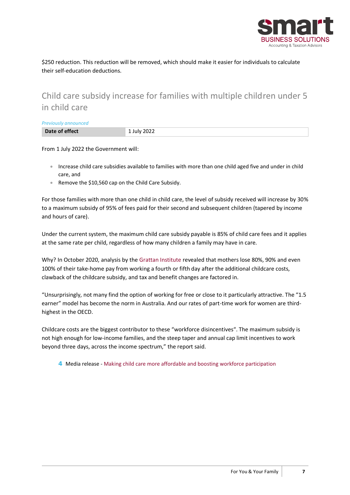

\$250 reduction. This reduction will be removed, which should make it easier for individuals to calculate their self-education deductions.

# <span id="page-6-0"></span>Child care subsidy increase for families with multiple children under 5 in child care

*Previously announced*

| Date of effect | 1 July 2022 |
|----------------|-------------|
|                |             |

From 1 July 2022 the Government will:

- Increase child care subsidies available to families with more than one child aged five and under in child care, and
- Remove the \$10,560 cap on the Child Care Subsidy.

For those families with more than one child in child care, the level of subsidy received will increase by 30% to a maximum subsidy of 95% of fees paid for their second and subsequent children (tapered by income and hours of care).

Under the current system, the maximum child care subsidy payable is 85% of child care fees and it applies at the same rate per child, regardless of how many children a family may have in care.

Why? In October 2020, analysis by the [Grattan Institute](https://grattan.edu.au/news/why-cheaper-childcare-is-good-economics/) revealed that mothers lose 80%, 90% and even 100% of their take-home pay from working a fourth or fifth day after the additional childcare costs, clawback of the childcare subsidy, and tax and benefit changes are factored in.

"Unsurprisingly, not many find the option of working for free or close to it particularly attractive. The "1.5 earner" model has become the norm in Australia. And our rates of part-time work for women are thirdhighest in the OECD.

Childcare costs are the biggest contributor to these "workforce disincentives". The maximum subsidy is not high enough for low-income families, and the steep taper and annual cap limit incentives to work beyond three days, across the income spectrum," the report said.

4 Media release - [Making child care more affordable and boosting workforce participation](https://ministers.treasury.gov.au/ministers/josh-frydenberg-2018/media-releases/making-child-care-more-affordable-and-boosting)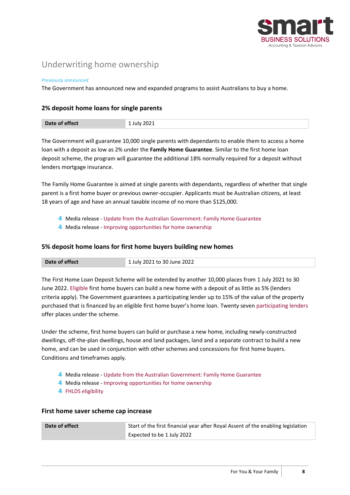

# <span id="page-7-0"></span>Underwriting home ownership

#### *Previously announced*

<span id="page-7-1"></span>The Government has announced new and expanded programs to assist Australians to buy a home.

#### **2% deposit home loans for single parents**

| Date of effect<br>2021<br>lulv. |  |
|---------------------------------|--|
|---------------------------------|--|

The Government will guarantee 10,000 single parents with dependants to enable them to access a home loan with a deposit as low as 2% under the **Family Home Guarantee**. Similar to the first home loan deposit scheme, the program will guarantee the additional 18% normally required for a deposit without lenders mortgage insurance.

The Family Home Guarantee is aimed at single parents with dependants, regardless of whether that single parent is a first home buyer or previous owner-occupier. Applicants must be Australian citizens, at least 18 years of age and have an annual taxable income of no more than \$125,000.

- 4 Media release [Update from the Australian Government: Family Home Guarantee](https://www.nhfic.gov.au/media-resources/media-releases/update-from-the-australian-government-family-home-guarantee/)
- 4 Media release [Improving opportunities for home ownership](https://ministers.treasury.gov.au/ministers/jane-hume-2020/media-releases/improving-opportunities-home-ownership)

#### <span id="page-7-2"></span>**5% deposit home loans for first home buyers building new homes**

| Date of effect | 1 July 2021 to 30 June 2022 |
|----------------|-----------------------------|

The First Home Loan Deposit Scheme will be extended by another 10,000 places from 1 July 2021 to 30 June 2022. [Eligible](https://www.nhfic.gov.au/what-we-do/fhlds/eligibility/) first home buyers can build a new home with a deposit of as little as 5% (lenders criteria apply). The Government guarantees a participating lender up to 15% of the value of the property purchased that is financed by an eligible first home buyer's home loan. Twenty seven [participating lenders](https://www.nhfic.gov.au/what-we-do/fhlds/how-to-apply/#FHLDSlenders) offer places under the scheme.

Under the scheme, first home buyers can build or purchase a new home, including newly-constructed dwellings, off-the-plan dwellings, house and land packages, land and a separate contract to build a new home, and can be used in conjunction with other schemes and concessions for first home buyers. Conditions and timeframes apply.

- 4 Media release [Update from the Australian Government: Family Home Guarantee](https://www.nhfic.gov.au/media-resources/media-releases/update-from-the-australian-government-family-home-guarantee/)
- 4 Media release [Improving opportunities for home ownership](https://ministers.treasury.gov.au/ministers/jane-hume-2020/media-releases/improving-opportunities-home-ownership)
- 4 [FHLDS eligibility](https://www.nhfic.gov.au/what-we-do/fhlds/new-homes/)

#### <span id="page-7-3"></span>**First home saver scheme cap increase**

| Date of effect | Start of the first financial year after Royal Assent of the enabling legislation |
|----------------|----------------------------------------------------------------------------------|
|                | Expected to be 1 July 2022                                                       |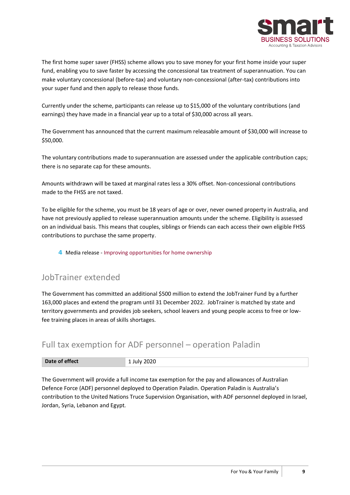

The first home super saver (FHSS) scheme allows you to save money for your first home inside your super fund, enabling you to save faster by accessing the concessional tax treatment of superannuation. You can make voluntary concessional (before-tax) and voluntary non-concessional (after-tax) contributions into your super fund and then apply to release those funds.

Currently under the scheme, participants can release up to \$15,000 of the voluntary contributions (and earnings) they have made in a financial year up to a total of \$30,000 across all years.

The Government has announced that the current maximum releasable amount of \$30,000 will increase to \$50,000.

The voluntary contributions made to superannuation are assessed under the applicable contribution caps; there is no separate cap for these amounts.

Amounts withdrawn will be taxed at marginal rates less a 30% offset. Non-concessional contributions made to the FHSS are not taxed.

To be eligible for the scheme, you must be 18 years of age or over, never owned property in Australia, and have not previously applied to release superannuation amounts under the scheme. Eligibility is assessed on an individual basis. This means that couples, siblings or friends can each access their own eligible FHSS contributions to purchase the same property.

4 Media release - [Improving opportunities for home ownership](https://ministers.treasury.gov.au/ministers/jane-hume-2020/media-releases/improving-opportunities-home-ownership)

#### <span id="page-8-0"></span>JobTrainer extended

The Government has committed an additional \$500 million to extend the JobTrainer Fund by a further 163,000 places and extend the program until 31 December 2022. JobTrainer is matched by state and territory governments and provides job seekers, school leavers and young people access to free or lowfee training places in areas of skills shortages.

### <span id="page-8-1"></span>Full tax exemption for ADF personnel – operation Paladin

| Date of effect | 2020 |
|----------------|------|
|                |      |

The Government will provide a full income tax exemption for the pay and allowances of Australian Defence Force (ADF) personnel deployed to Operation Paladin. Operation Paladin is Australia's contribution to the United Nations Truce Supervision Organisation, with ADF personnel deployed in Israel, Jordan, Syria, Lebanon and Egypt.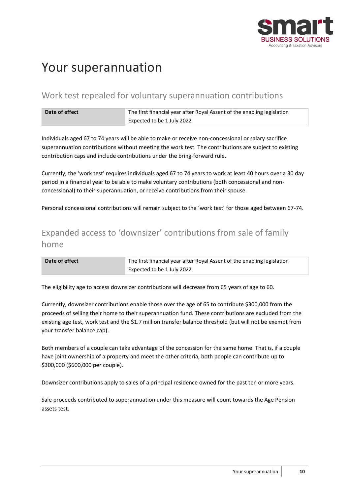

# <span id="page-9-0"></span>Your superannuation

# <span id="page-9-1"></span>Work test repealed for voluntary superannuation contributions

| Date of effect | The first financial year after Royal Assent of the enabling legislation |
|----------------|-------------------------------------------------------------------------|
|                | Expected to be 1 July 2022                                              |

Individuals aged 67 to 74 years will be able to make or receive non-concessional or salary sacrifice superannuation contributions without meeting the work test. The contributions are subject to existing contribution caps and include contributions under the bring-forward rule.

Currently, the 'work test' requires individuals aged 67 to 74 years to work at least 40 hours over a 30 day period in a financial year to be able to make voluntary contributions (both concessional and nonconcessional) to their superannuation, or receive contributions from their spouse.

<span id="page-9-2"></span>Personal concessional contributions will remain subject to the 'work test' for those aged between 67-74.

# Expanded access to 'downsizer' contributions from sale of family home

| Date of effect | The first financial year after Royal Assent of the enabling legislation |
|----------------|-------------------------------------------------------------------------|
|                | Expected to be 1 July 2022                                              |

The eligibility age to access downsizer contributions will decrease from 65 years of age to 60.

Currently, downsizer contributions enable those over the age of 65 to contribute \$300,000 from the proceeds of selling their home to their superannuation fund. These contributions are excluded from the existing age test, work test and the \$1.7 million transfer balance threshold (but will not be exempt from your transfer balance cap).

Both members of a couple can take advantage of the concession for the same home. That is, if a couple have joint ownership of a property and meet the other criteria, both people can contribute up to \$300,000 (\$600,000 per couple).

Downsizer contributions apply to sales of a principal residence owned for the past ten or more years.

Sale proceeds contributed to superannuation under this measure will count towards the Age Pension assets test.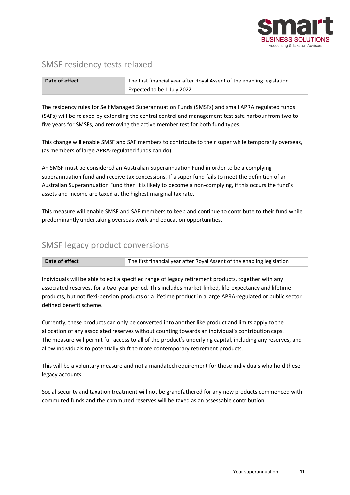

### <span id="page-10-0"></span>SMSF residency tests relaxed

| Date of effect | The first financial year after Royal Assent of the enabling legislation |
|----------------|-------------------------------------------------------------------------|
|                | Expected to be 1 July 2022                                              |

The residency rules for Self Managed Superannuation Funds (SMSFs) and small APRA regulated funds (SAFs) will be relaxed by extending the central control and management test safe harbour from two to five years for SMSFs, and removing the active member test for both fund types.

This change will enable SMSF and SAF members to contribute to their super while temporarily overseas, (as members of large APRA-regulated funds can do).

An SMSF must be considered an Australian Superannuation Fund in order to be a complying superannuation fund and receive tax concessions. If a super fund fails to meet the definition of an Australian Superannuation Fund then it is likely to become a non-complying, if this occurs the fund's assets and income are taxed at the highest marginal tax rate.

This measure will enable SMSF and SAF members to keep and continue to contribute to their fund while predominantly undertaking overseas work and education opportunities.

# <span id="page-10-1"></span>SMSF legacy product conversions

**Date of effect** The first financial year after Royal Assent of the enabling legislation

Individuals will be able to exit a specified range of legacy retirement products, together with any associated reserves, for a two-year period. This includes market-linked, life-expectancy and lifetime products, but not flexi-pension products or a lifetime product in a large APRA-regulated or public sector defined benefit scheme.

Currently, these products can only be converted into another like product and limits apply to the allocation of any associated reserves without counting towards an individual's contribution caps. The measure will permit full access to all of the product's underlying capital, including any reserves, and allow individuals to potentially shift to more contemporary retirement products.

This will be a voluntary measure and not a mandated requirement for those individuals who hold these legacy accounts.

Social security and taxation treatment will not be grandfathered for any new products commenced with commuted funds and the commuted reserves will be taxed as an assessable contribution.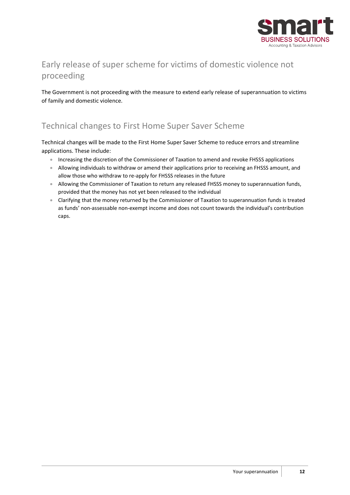

# <span id="page-11-0"></span>Early release of super scheme for victims of domestic violence not proceeding

The Government is not proceeding with the measure to extend early release of superannuation to victims of family and domestic violence.

# <span id="page-11-1"></span>Technical changes to First Home Super Saver Scheme

Technical changes will be made to the First Home Super Saver Scheme to reduce errors and streamline applications. These include:

- Increasing the discretion of the Commissioner of Taxation to amend and revoke FHSSS applications
- Allowing individuals to withdraw or amend their applications prior to receiving an FHSSS amount, and allow those who withdraw to re-apply for FHSSS releases in the future
- Allowing the Commissioner of Taxation to return any released FHSSS money to superannuation funds, provided that the money has not yet been released to the individual
- Clarifying that the money returned by the Commissioner of Taxation to superannuation funds is treated as funds' non-assessable non-exempt income and does not count towards the individual's contribution caps.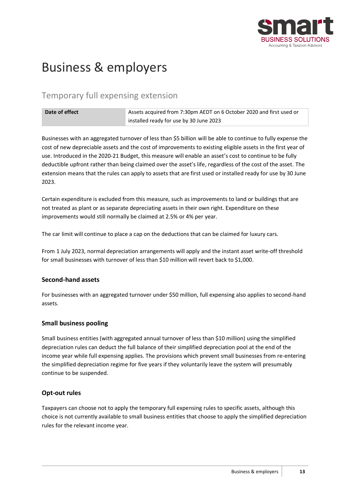

# <span id="page-12-0"></span>Business & employers

# <span id="page-12-1"></span>Temporary full expensing extension

| Date of effect | Assets acquired from 7:30pm AEDT on 6 October 2020 and first used or |
|----------------|----------------------------------------------------------------------|
|                | installed ready for use by 30 June 2023                              |

Businesses with an aggregated turnover of less than \$5 billion will be able to continue to fully expense the cost of new depreciable assets and the cost of improvements to existing eligible assets in the first year of use. Introduced in the 2020-21 Budget, this measure will enable an asset's cost to continue to be fully deductible upfront rather than being claimed over the asset's life, regardless of the cost of the asset. The extension means that the rules can apply to assets that are first used or installed ready for use by 30 June 2023.

Certain expenditure is excluded from this measure, such as improvements to land or buildings that are not treated as plant or as separate depreciating assets in their own right. Expenditure on these improvements would still normally be claimed at 2.5% or 4% per year.

The car limit will continue to place a cap on the deductions that can be claimed for luxury cars.

From 1 July 2023, normal depreciation arrangements will apply and the instant asset write-off threshold for small businesses with turnover of less than \$10 million will revert back to \$1,000.

#### <span id="page-12-2"></span>**Second-hand assets**

For businesses with an aggregated turnover under \$50 million, full expensing also applies to second-hand assets.

#### <span id="page-12-3"></span>**Small business pooling**

Small business entities (with aggregated annual turnover of less than \$10 million) using the simplified depreciation rules can deduct the full balance of their simplified depreciation pool at the end of the income year while full expensing applies. The provisions which prevent small businesses from re-entering the simplified depreciation regime for five years if they voluntarily leave the system will presumably continue to be suspended.

#### <span id="page-12-4"></span>**Opt-out rules**

Taxpayers can choose not to apply the temporary full expensing rules to specific assets, although this choice is not currently available to small business entities that choose to apply the simplified depreciation rules for the relevant income year.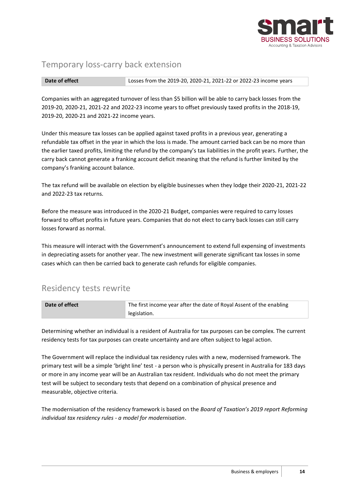

### <span id="page-13-0"></span>Temporary loss-carry back extension

**Date of effect** Losses from the 2019-20, 2020-21, 2021-22 or 2022-23 income years

Companies with an aggregated turnover of less than \$5 billion will be able to carry back losses from the 2019-20, 2020-21, 2021-22 and 2022-23 income years to offset previously taxed profits in the 2018-19, 2019-20, 2020-21 and 2021-22 income years.

Under this measure tax losses can be applied against taxed profits in a previous year, generating a refundable tax offset in the year in which the loss is made. The amount carried back can be no more than the earlier taxed profits, limiting the refund by the company's tax liabilities in the profit years. Further, the carry back cannot generate a franking account deficit meaning that the refund is further limited by the company's franking account balance.

The tax refund will be available on election by eligible businesses when they lodge their 2020-21, 2021-22 and 2022-23 tax returns.

Before the measure was introduced in the 2020-21 Budget, companies were required to carry losses forward to offset profits in future years. Companies that do not elect to carry back losses can still carry losses forward as normal.

This measure will interact with the Government's announcement to extend full expensing of investments in depreciating assets for another year. The new investment will generate significant tax losses in some cases which can then be carried back to generate cash refunds for eligible companies.

# <span id="page-13-1"></span>Residency tests rewrite

| Date of effect | The first income year after the date of Royal Assent of the enabling |
|----------------|----------------------------------------------------------------------|
|                | legislation.                                                         |

Determining whether an individual is a resident of Australia for tax purposes can be complex. The current residency tests for tax purposes can create uncertainty and are often subject to legal action.

The Government will replace the individual tax residency rules with a new, modernised framework. The primary test will be a simple 'bright line' test - a person who is physically present in Australia for 183 days or more in any income year will be an Australian tax resident. Individuals who do not meet the primary test will be subject to secondary tests that depend on a combination of physical presence and measurable, objective criteria.

The modernisation of the residency framework is based on the *Board of Taxation's 2019 report Reforming individual tax residency rules - a model for modernisation*.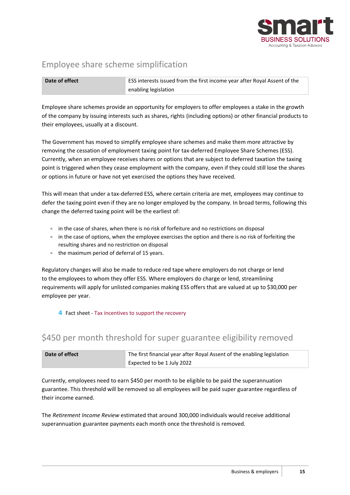

# <span id="page-14-0"></span>Employee share scheme simplification

| Date of effect | <b>ESS interests issued from the first income year after Royal Assent of the</b> |
|----------------|----------------------------------------------------------------------------------|
|                | enabling legislation                                                             |

Employee share schemes provide an opportunity for employers to offer employees a stake in the growth of the company by issuing interests such as shares, rights (including options) or other financial products to their employees, usually at a discount.

The Government has moved to simplify employee share schemes and make them more attractive by removing the cessation of employment taxing point for tax-deferred Employee Share Schemes (ESS). Currently, when an employee receives shares or options that are subject to deferred taxation the taxing point is triggered when they cease employment with the company, even if they could still lose the shares or options in future or have not yet exercised the options they have received.

This will mean that under a tax-deferred ESS, where certain criteria are met, employees may continue to defer the taxing point even if they are no longer employed by the company. In broad terms, following this change the deferred taxing point will be the earliest of:

- in the case of shares, when there is no risk of forfeiture and no restrictions on disposal
- in the case of options, when the employee exercises the option and there is no risk of forfeiting the resulting shares and no restriction on disposal
- the maximum period of deferral of 15 years.

Regulatory changes will also be made to reduce red tape where employers do not charge or lend to the employees to whom they offer ESS. Where employers do charge or lend, streamlining requirements will apply for unlisted companies making ESS offers that are valued at up to \$30,000 per employee per year.

#### 4 Fact sheet - [Tax incentives to support the recovery](https://budget.gov.au/2021-22/content/factsheets/download/factsheet_tax.pdf)

### <span id="page-14-1"></span>\$450 per month threshold for super guarantee eligibility removed

| Date of effect | The first financial year after Royal Assent of the enabling legislation |
|----------------|-------------------------------------------------------------------------|
|                | Expected to be 1 July 2022                                              |

Currently, employees need to earn \$450 per month to be eligible to be paid the superannuation guarantee. This threshold will be removed so all employees will be paid super guarantee regardless of their income earned.

The *Retirement Income Review* estimated that around 300,000 individuals would receive additional superannuation guarantee payments each month once the threshold is removed.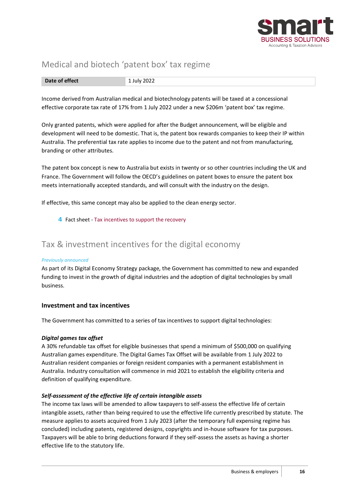

# <span id="page-15-0"></span>Medical and biotech 'patent box' tax regime

| Date of effect | ZUZZ<br>- - - - |
|----------------|-----------------|
|----------------|-----------------|

Income derived from Australian medical and biotechnology patents will be taxed at a concessional effective corporate tax rate of 17% from 1 July 2022 under a new \$206m 'patent box' tax regime.

Only granted patents, which were applied for after the Budget announcement, will be eligible and development will need to be domestic. That is, the patent box rewards companies to keep their IP within Australia. The preferential tax rate applies to income due to the patent and not from manufacturing, branding or other attributes.

The patent box concept is new to Australia but exists in twenty or so other countries including the UK and France. The Government will follow the OECD's guidelines on patent boxes to ensure the patent box meets internationally accepted standards, and will consult with the industry on the design.

If effective, this same concept may also be applied to the clean energy sector.

4 Fact sheet - [Tax incentives to support the recovery](https://budget.gov.au/2021-22/content/factsheets/download/factsheet_tax.pdf)

# <span id="page-15-1"></span>Tax & investment incentives for the digital economy

#### *Previously announced*

As part of its Digital Economy Strategy package, the Government has committed to new and expanded funding to invest in the growth of digital industries and the adoption of digital technologies by small business.

#### <span id="page-15-2"></span>**Investment and tax incentives**

The Government has committed to a series of tax incentives to support digital technologies:

#### *Digital games tax offset*

A 30% refundable tax offset for eligible businesses that spend a minimum of \$500,000 on qualifying Australian games expenditure. The Digital Games Tax Offset will be available from 1 July 2022 to Australian resident companies or foreign resident companies with a permanent establishment in Australia. Industry consultation will commence in mid 2021 to establish the eligibility criteria and definition of qualifying expenditure.

#### *Self-assessment of the effective life of certain intangible assets*

The income tax laws will be amended to allow taxpayers to self-assess the effective life of certain intangible assets, rather than being required to use the effective life currently prescribed by statute. The measure applies to assets acquired from 1 July 2023 (after the temporary full expensing regime has concluded) including patents, registered designs, copyrights and in-house software for tax purposes. Taxpayers will be able to bring deductions forward if they self-assess the assets as having a shorter effective life to the statutory life.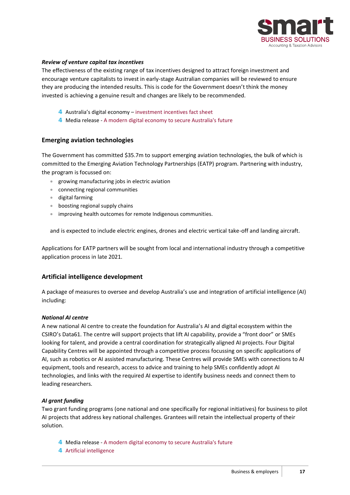

#### *Review of venture capital tax incentives*

The effectiveness of the existing range of tax incentives designed to attract foreign investment and encourage venture capitalists to invest in early-stage Australian companies will be reviewed to ensure they are producing the intended results. This is code for the Government doesn't think the money invested is achieving a genuine result and changes are likely to be recommended.

- 4 Australia's digital economy [investment incentives fact sheet](https://digitaleconomy.pmc.gov.au/fact-sheets/investment-incentives)
- 4 Media release [A modern digital economy to secure Australia's future](https://ministers.treasury.gov.au/ministers/josh-frydenberg-2018/media-releases/modern-digital-economy-secure-australias-future)

#### <span id="page-16-0"></span>**Emerging aviation technologies**

The Government has committed \$35.7m to support emerging aviation technologies, the bulk of which is committed to the Emerging Aviation Technology Partnerships (EATP) program. Partnering with industry, the program is focussed on:

- growing manufacturing jobs in electric aviation
- connecting regional communities
- digital farming
- boosting regional supply chains
- improving health outcomes for remote Indigenous communities.

and is expected to include electric engines, drones and electric vertical take-off and landing aircraft.

Applications for EATP partners will be sought from local and international industry through a competitive application process in late 2021.

#### <span id="page-16-1"></span>**Artificial intelligence development**

A package of measures to oversee and develop Australia's use and integration of artificial intelligence (AI) including:

#### *National AI centre*

A new national AI centre to create the foundation for Australia's AI and digital ecosystem within the CSIRO's Data61. The centre will support projects that lift AI capability, provide a "front door" or SMEs looking for talent, and provide a central coordination for strategically aligned AI projects. Four Digital Capability Centres will be appointed through a competitive process focussing on specific applications of AI, such as robotics or AI assisted manufacturing. These Centres will provide SMEs with connections to AI equipment, tools and research, access to advice and training to help SMEs confidently adopt AI technologies, and links with the required AI expertise to identify business needs and connect them to leading researchers.

#### *AI grant funding*

Two grant funding programs (one national and one specifically for regional initiatives) for business to pilot AI projects that address key national challenges. Grantees will retain the intellectual property of their solution.

- 4 Media release [A modern digital economy to secure Australia's future](https://ministers.treasury.gov.au/ministers/josh-frydenberg-2018/media-releases/modern-digital-economy-secure-australias-future)
- 4 [Artificial intelligence](https://digitaleconomy.pmc.gov.au/fact-sheets/artificial-intelligence)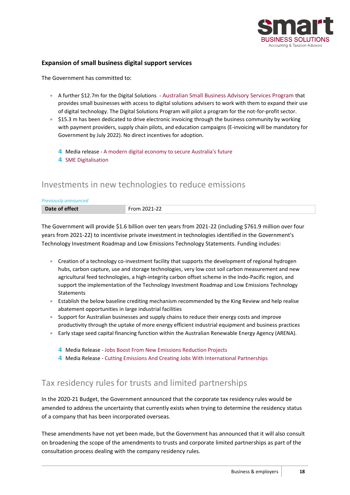

#### <span id="page-17-0"></span>**Expansion of small business digital support services**

The Government has committed to:

- A further \$12.7m for the Digital Solutions [Australian Small Business Advisory Services Program](https://business.gov.au/expertise-and-advice/digital-solutions-australian-small-business-advisory-services) that provides small businesses with access to digital solutions advisers to work with them to expand their use of digital technology. The Digital Solutions Program will pilot a program for the not-for-profit sector.
- \$15.3 m has been dedicated to drive electronic invoicing through the business community by working with payment providers, supply chain pilots, and education campaigns (E-invoicing will be mandatory for Government by July 2022). No direct incentives for adoption.
	- 4 Media release [A modern digital economy to secure Australia's future](https://ministers.treasury.gov.au/ministers/josh-frydenberg-2018/media-releases/modern-digital-economy-secure-australias-future)
	- 4 [SME Digitalisation](https://digitaleconomy.pmc.gov.au/fact-sheets/sme-digitalisation)

#### <span id="page-17-1"></span>Investments in new technologies to reduce emissions

| <b>Previously announced</b> |              |
|-----------------------------|--------------|
| Date of effect              | From 2021-22 |

The Government will provide \$1.6 billion over ten years from 2021-22 (including \$761.9 million over four years from 2021-22) to incentivise private investment in technologies identified in the Government's Technology Investment Roadmap and Low Emissions Technology Statements. Funding includes:

- Creation of a technology co-investment facility that supports the development of regional hydrogen hubs, carbon capture, use and storage technologies, very low cost soil carbon measurement and new agricultural feed technologies, a high-integrity carbon offset scheme in the Indo-Pacific region, and support the implementation of the Technology Investment Roadmap and Low Emissions Technology **Statements**
- Establish the below baseline crediting mechanism recommended by the King Review and help realise abatement opportunities in large industrial facilities
- Support for Australian businesses and supply chains to reduce their energy costs and improve productivity through the uptake of more energy efficient industrial equipment and business practices
- Early stage seed capital financing function within the Australian Renewable Energy Agency (ARENA).
	- 4 Media Release [Jobs Boost From New Emissions Reduction Projects](https://www.pm.gov.au/media/jobs-boost-new-emissions-reduction-projects)
	- 4 Media Release [Cutting Emissions And Creating Jobs With International Partnerships](https://www.pm.gov.au/media/cutting-emissions-and-creating-jobs-international-partnerships)

### <span id="page-17-2"></span>Tax residency rules for trusts and limited partnerships

In the 2020-21 Budget, the Government announced that the corporate tax residency rules would be amended to address the uncertainty that currently exists when trying to determine the residency status of a company that has been incorporated overseas.

These amendments have not yet been made, but the Government has announced that it will also consult on broadening the scope of the amendments to trusts and corporate limited partnerships as part of the consultation process dealing with the company residency rules.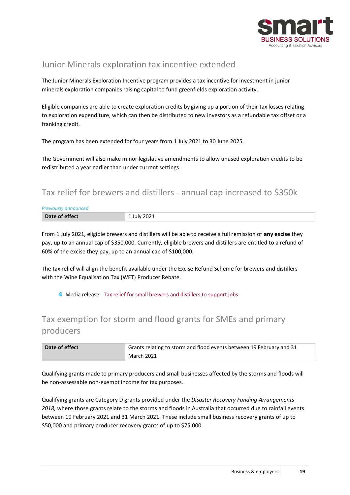

# <span id="page-18-0"></span>Junior Minerals exploration tax incentive extended

The Junior Minerals Exploration Incentive program provides a tax incentive for investment in junior minerals exploration companies raising capital to fund greenfields exploration activity.

Eligible companies are able to create exploration credits by giving up a portion of their tax losses relating to exploration expenditure, which can then be distributed to new investors as a refundable tax offset or a franking credit.

The program has been extended for four years from 1 July 2021 to 30 June 2025.

The Government will also make minor legislative amendments to allow unused exploration credits to be redistributed a year earlier than under current settings.

# <span id="page-18-1"></span>Tax relief for brewers and distillers - annual cap increased to \$350k

| <b>Previously announced</b> |             |
|-----------------------------|-------------|
| Date of effect              | 1 July 2021 |

From 1 July 2021, eligible brewers and distillers will be able to receive a full remission of **any excise** they pay, up to an annual cap of \$350,000. Currently, eligible brewers and distillers are entitled to a refund of 60% of the excise they pay, up to an annual cap of \$100,000.

The tax relief will align the benefit available under the Excise Refund Scheme for brewers and distillers with the Wine Equalisation Tax (WET) Producer Rebate.

4 Media release - [Tax relief for small brewers and distillers to support jobs](https://ministers.treasury.gov.au/ministers/josh-frydenberg-2018/media-releases/tax-relief-small-brewers-and-distillers-support-jobs)

# <span id="page-18-2"></span>Tax exemption for storm and flood grants for SMEs and primary producers

| Date of effect | Grants relating to storm and flood events between 19 February and 31 |
|----------------|----------------------------------------------------------------------|
|                | <b>March 2021</b>                                                    |

Qualifying grants made to primary producers and small businesses affected by the storms and floods will be non-assessable non-exempt income for tax purposes.

Qualifying grants are Category D grants provided under the *Disaster Recovery Funding Arrangements 2018*, where those grants relate to the storms and floods in Australia that occurred due to rainfall events between 19 February 2021 and 31 March 2021. These include small business recovery grants of up to \$50,000 and primary producer recovery grants of up to \$75,000.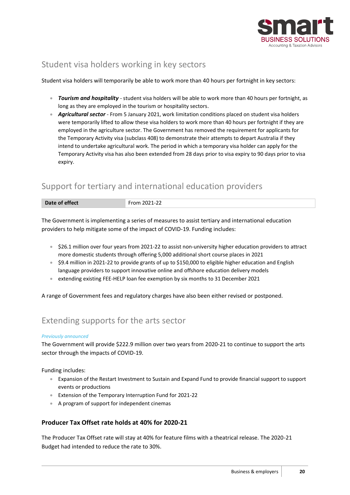

# <span id="page-19-0"></span>Student visa holders working in key sectors

Student visa holders will temporarily be able to work more than 40 hours per fortnight in key sectors:

- *Tourism and hospitality* student visa holders will be able to work more than 40 hours per fortnight, as long as they are employed in the tourism or hospitality sectors.
- *Agricultural sector* From 5 January 2021, work limitation conditions placed on student visa holders were temporarily lifted to allow these visa holders to work more than 40 hours per fortnight if they are employed in the agriculture sector. The Government has removed the requirement for applicants for the Temporary Activity visa (subclass 408) to demonstrate their attempts to depart Australia if they intend to undertake agricultural work. The period in which a temporary visa holder can apply for the Temporary Activity visa has also been extended from 28 days prior to visa expiry to 90 days prior to visa expiry.

# <span id="page-19-1"></span>Support for tertiary and international education providers

| Date of effect | --<br>$-$<br>----<br>$\mathbf{I} - \mathbf{I}$<br>__<br>the contract of the contract of the contract of the contract of the contract of the contract of the contract of |
|----------------|-------------------------------------------------------------------------------------------------------------------------------------------------------------------------|

The Government is implementing a series of measures to assist tertiary and international education providers to help mitigate some of the impact of COVID-19. Funding includes:

- \$26.1 million over four years from 2021-22 to assist non-university higher education providers to attract more domestic students through offering 5,000 additional short course places in 2021
- \$9.4 million in 2021-22 to provide grants of up to \$150,000 to eligible higher education and English language providers to support innovative online and offshore education delivery models
- extending existing FEE-HELP loan fee exemption by six months to 31 December 2021

<span id="page-19-2"></span>A range of Government fees and regulatory charges have also been either revised or postponed.

# Extending supports for the arts sector

#### *Previously announced*

The Government will provide \$222.9 million over two years from 2020-21 to continue to support the arts sector through the impacts of COVID-19.

Funding includes:

- Expansion of the Restart Investment to Sustain and Expand Fund to provide financial support to support events or productions
- Extension of the Temporary Interruption Fund for 2021-22
- A program of support for independent cinemas

#### <span id="page-19-3"></span>**Producer Tax Offset rate holds at 40% for 2020-21**

The Producer Tax Offset rate will stay at 40% for feature films with a theatrical release. The 2020-21 Budget had intended to reduce the rate to 30%.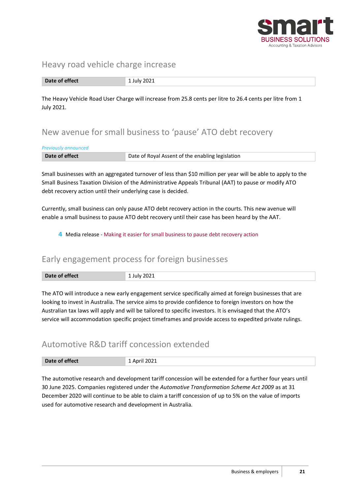

#### <span id="page-20-0"></span>Heavy road vehicle charge increase

**Date of effect** 1 July 2021

The Heavy Vehicle Road User Charge will increase from 25.8 cents per litre to 26.4 cents per litre from 1 July 2021.

# <span id="page-20-1"></span>New avenue for small business to 'pause' ATO debt recovery

#### *Previously announced*

| Date of effect | Date of Royal Assent of the enabling legislation |
|----------------|--------------------------------------------------|

Small businesses with an aggregated turnover of less than \$10 million per year will be able to apply to the Small Business Taxation Division of the Administrative Appeals Tribunal (AAT) to pause or modify ATO debt recovery action until their underlying case is decided.

Currently, small business can only pause ATO debt recovery action in the courts. This new avenue will enable a small business to pause ATO debt recovery until their case has been heard by the AAT.

#### 4 Media release - [Making it easier for small business to pause debt recovery action](https://ministers.treasury.gov.au/ministers/josh-frydenberg-2018/media-releases/making-it-easier-small-business-pause-debt-recovery)

### <span id="page-20-2"></span>Early engagement process for foreign businesses

| Date of effect | 2021<br>lulv<br>____<br>. |
|----------------|---------------------------|

The ATO will introduce a new early engagement service specifically aimed at foreign businesses that are looking to invest in Australia. The service aims to provide confidence to foreign investors on how the Australian tax laws will apply and will be tailored to specific investors. It is envisaged that the ATO's service will accommodation specific project timeframes and provide access to expedited private rulings.

### <span id="page-20-3"></span>Automotive R&D tariff concession extended

| <b>PULL VI LIILLE</b> | - |
|-----------------------|---|
|                       |   |

The automotive research and development tariff concession will be extended for a further four years until 30 June 2025. Companies registered under the *Automotive Transformation Scheme Act 2009* as at 31 December 2020 will continue to be able to claim a tariff concession of up to 5% on the value of imports used for automotive research and development in Australia.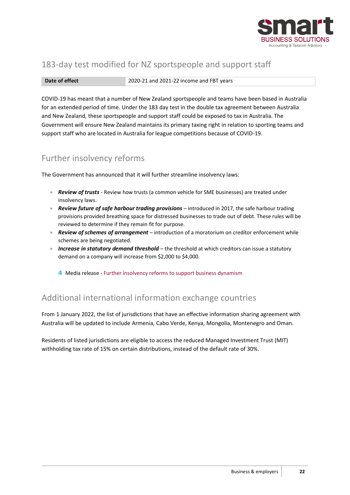

# <span id="page-21-0"></span>183-day test modified for NZ sportspeople and support staff

**Date of effect** 2020-21 and 2021-22 income and FBT years

COVID-19 has meant that a number of New Zealand sportspeople and teams have been based in Australia for an extended period of time. Under the 183 day test in the double tax agreement between Australia and New Zealand, these sportspeople and support staff could be exposed to tax in Australia. The Government will ensure New Zealand maintains its primary taxing right in relation to sporting teams and support staff who are located in Australia for league competitions because of COVID-19.

### <span id="page-21-1"></span>Further insolvency reforms

The Government has announced that it will further streamline insolvency laws:

- *Review of trusts* Review how trusts (a common vehicle for SME businesses) are treated under insolvency laws.
- *Review future of safe harbour trading provisions* introduced in 2017, the safe harbour trading provisions provided breathing space for distressed businesses to trade out of debt. These rules will be reviewed to determine if they remain fit for purpose.
- *Review of schemes of arrangement*  introduction of a moratorium on creditor enforcement while schemes are being negotiated.
- *Increase in statutory demand threshold*  the threshold at which creditors can issue a statutory demand on a company will increase from \$2,000 to \$4,000.
	- 4 Media release [Further insolvency reforms to support business dynamism](https://ministers.treasury.gov.au/ministers/josh-frydenberg-2018/media-releases/further-insolvency-reforms-support-business-dynamism)

# <span id="page-21-2"></span>Additional international information exchange countries

From 1 January 2022, the list of jurisdictions that have an effective information sharing agreement with Australia will be updated to include Armenia, Cabo Verde, Kenya, Mongolia, Montenegro and Oman.

Residents of listed jurisdictions are eligible to access the reduced Managed Investment Trust (MIT) withholding tax rate of 15% on certain distributions, instead of the default rate of 30%.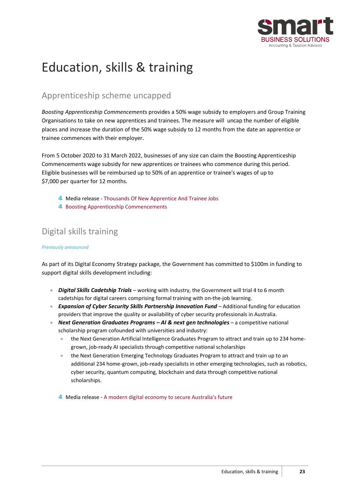

# <span id="page-22-0"></span>Education, skills & training

# <span id="page-22-1"></span>Apprenticeship scheme uncapped

*Boosting Apprenticeship Commencements* provides a 50% wage subsidy to employers and Group Training Organisations to take on new apprentices and trainees. The measure will uncap the number of eligible places and increase the duration of the 50% wage subsidy to 12 months from the date an apprentice or trainee commences with their employer.

From 5 October 2020 to 31 March 2022, businesses of any size can claim the Boosting Apprenticeship Commencements wage subsidy for new apprentices or trainees who commence during this period. Eligible businesses will be reimbursed up to 50% of an apprentice or trainee's wages of up to \$7,000 per quarter for 12 months.

- 4 Media release [Thousands Of New Apprentice And Trainee Jobs](https://www.pm.gov.au/media/thousands-new-apprentice-and-trainee-jobs)
- 4 [Boosting Apprenticeship Commencements](https://www.dese.gov.au/boosting-apprenticeship-commencements)

# <span id="page-22-2"></span>Digital skills training

#### *Previously announced*

As part of its Digital Economy Strategy package, the Government has committed to \$100m in funding to support digital skills development including:

- *Digital Skills Cadetship Trials* working with industry, the Government will trial 4 to 6 month cadetships for digital careers comprising formal training with on-the-job learning.
- *Expansion of Cyber Security Skills Partnership Innovation Fund* Additional funding for education providers that improve the quality or availability of cyber security professionals in Australia.
- *Next Generation Graduates Programs – AI & next gen technologies* a competitive national scholarship program cofounded with universities and industry:
	- the Next Generation Artificial Intelligence Graduates Program to attract and train up to 234 homegrown, job-ready AI specialists through competitive national scholarships
	- the Next Generation Emerging Technology Graduates Program to attract and train up to an additional 234 home-grown, job-ready specialists in other emerging technologies, such as robotics, cyber security, quantum computing, blockchain and data through competitive national scholarships.
	- 4 Media release [A modern digital economy to secure Australia's future](https://ministers.treasury.gov.au/ministers/josh-frydenberg-2018/media-releases/modern-digital-economy-secure-australias-future)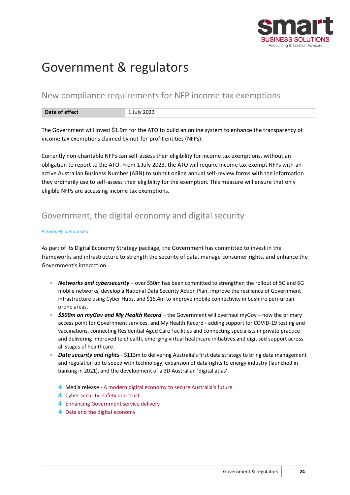

# <span id="page-23-0"></span>Government & regulators

#### <span id="page-23-1"></span>New compliance requirements for NFP income tax exemptions

| ÆТ<br>mer<br>$D$ utt vi viisiin<br>---- | ZUZS |
|-----------------------------------------|------|

The Government will invest \$1.9m for the ATO to build an online system to enhance the transparency of income tax exemptions claimed by not-for-profit entities (NFPs).

Currently non-charitable NFPs can self-assess their eligibility for income tax exemptions, without an obligation to report to the ATO. From 1 July 2023, the ATO will require income tax exempt NFPs with an active Australian Business Number (ABN) to submit online annual self-review forms with the information they ordinarily use to self-assess their eligibility for the exemption. This measure will ensure that only eligible NFPs are accessing income tax exemptions.

# <span id="page-23-2"></span>Government, the digital economy and digital security

#### *Previously announced*

As part of its Digital Economy Strategy package, the Government has committed to invest in the frameworks and infrastructure to strength the security of data, manage consumer rights, and enhance the Government's interaction.

- **Networks and cybersecurity** over \$50m has been committed to strengthen the rollout of 5G and 6G mobile networks, develop a National Data Security Action Plan, improve the resilience of Government infrastructure using Cyber Hubs, and \$16.4m to improve mobile connectivity in bushfire peri-urban prone areas.
- *\$500m on myGov and My Health Record*  the Government will overhaul myGov now the primary access point for Government services, and My Health Record - adding support for COVID-19 testing and vaccinations, connecting Residential Aged Care Facilities and connecting specialists in private practice and delivering improved telehealth, emerging virtual healthcare initiatives and digitised support across all stages of healthcare.
- *Data security and rights* \$113m to delivering Australia's first data strategy to bring data management and regulation up to speed with technology, expansion of data rights to energy industry (launched in banking in 2021), and the development of a 3D Australian 'digital atlas'.
	- 4 Media release [A modern digital economy to secure Australia's future](https://ministers.treasury.gov.au/ministers/josh-frydenberg-2018/media-releases/modern-digital-economy-secure-australias-future)
	- 4 [Cyber security, safety and trust](https://digitaleconomy.pmc.gov.au/fact-sheets/cyber-security-safety-and-trust)
	- 4 [Enhancing Government service delivery](https://digitaleconomy.pmc.gov.au/fact-sheets/enhancing-government-service-delivery)
	- 4 [Data and the digital economy](https://digitaleconomy.pmc.gov.au/fact-sheets/data-and-digital-economy)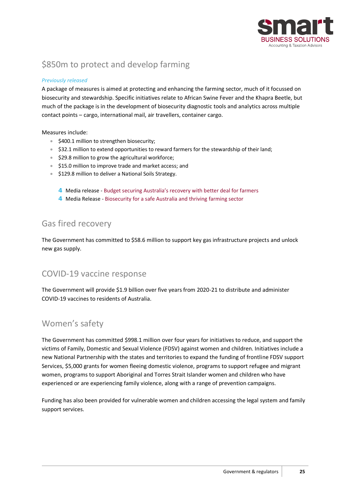

# <span id="page-24-0"></span>\$850m to protect and develop farming

#### *Previously released*

A package of measures is aimed at protecting and enhancing the farming sector, much of it focussed on biosecurity and stewardship. Specific initiatives relate to African Swine Fever and the Khapra Beetle, but much of the package is in the development of biosecurity diagnostic tools and analytics across multiple contact points – cargo, international mail, air travellers, container cargo.

#### Measures include:

- \$400.1 million to strengthen biosecurity;
- \$32.1 million to extend opportunities to reward farmers for the stewardship of their land;
- \$29.8 million to grow the agricultural workforce;
- \$15.0 million to improve trade and market access; and
- \$129.8 million to deliver a National Soils Strategy.
	- 4 Media release [Budget securing Australia's recovery with better deal for farmers](https://minister.awe.gov.au/littleproud/media-releases/budget-securing-australias-recovery-better-deal-farmers)
	- 4 Media Release [Biosecurity for a safe Australia and thriving farming sector](https://minister.awe.gov.au/littleproud/media-releases/biosecurity-package)

# <span id="page-24-1"></span>Gas fired recovery

The Government has committed to \$58.6 million to support key gas infrastructure projects and unlock new gas supply.

### <span id="page-24-2"></span>COVID-19 vaccine response

The Government will provide \$1.9 billion over five years from 2020-21 to distribute and administer COVID-19 vaccines to residents of Australia.

### <span id="page-24-3"></span>Women's safety

The Government has committed \$998.1 million over four years for initiatives to reduce, and support the victims of Family, Domestic and Sexual Violence (FDSV) against women and children. Initiatives include a new National Partnership with the states and territories to expand the funding of frontline FDSV support Services, \$5,000 grants for women fleeing domestic violence, programs to support refugee and migrant women, programs to support Aboriginal and Torres Strait Islander women and children who have experienced or are experiencing family violence, along with a range of prevention campaigns.

Funding has also been provided for vulnerable women and children accessing the legal system and family support services.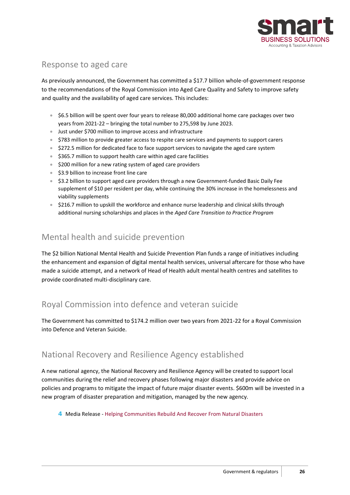

# <span id="page-25-0"></span>Response to aged care

As previously announced, the Government has committed a \$17.7 billion whole-of-government response to the recommendations of the Royal Commission into Aged Care Quality and Safety to improve safety and quality and the availability of aged care services. This includes:

- \$6.5 billion will be spent over four years to release 80,000 additional home care packages over two years from 2021-22 – bringing the total number to 275,598 by June 2023.
- Just under \$700 million to improve access and infrastructure
- \$783 million to provide greater access to respite care services and payments to support carers
- \$272.5 million for dedicated face to face support services to navigate the aged care system
- \$365.7 million to support health care within aged care facilities
- \$200 million for a new rating system of aged care providers
- \$3.9 billion to increase front line care
- \$3.2 billion to support aged care providers through a new Government-funded Basic Daily Fee supplement of \$10 per resident per day, while continuing the 30% increase in the homelessness and viability supplements
- \$216.7 million to upskill the workforce and enhance nurse leadership and clinical skills through additional nursing scholarships and places in the *Aged Care Transition to Practice Program*

### <span id="page-25-1"></span>Mental health and suicide prevention

The \$2 billion National Mental Health and Suicide Prevention Plan funds a range of initiatives including the enhancement and expansion of digital mental health services, universal aftercare for those who have made a suicide attempt, and a network of Head of Health adult mental health centres and satellites to provide coordinated multi-disciplinary care.

# <span id="page-25-2"></span>Royal Commission into defence and veteran suicide

The Government has committed to \$174.2 million over two years from 2021-22 for a Royal Commission into Defence and Veteran Suicide.

### <span id="page-25-3"></span>National Recovery and Resilience Agency established

A new national agency, the National Recovery and Resilience Agency will be created to support local communities during the relief and recovery phases following major disasters and provide advice on policies and programs to mitigate the impact of future major disaster events. \$600m will be invested in a new program of disaster preparation and mitigation, managed by the new agency.

4 Media Release - [Helping Communities Rebuild And Recover From Natural Disasters](https://www.pm.gov.au/media/helping-communities-rebuild-and-recover-natural-disasters)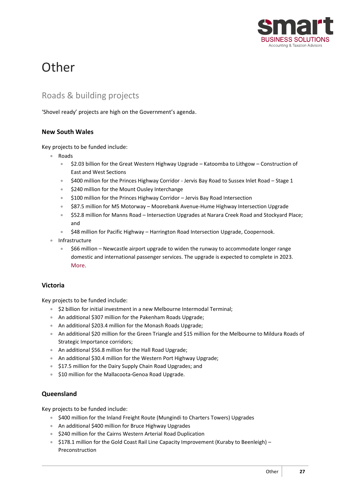

# <span id="page-26-0"></span>**Other**

# <span id="page-26-1"></span>Roads & building projects

<span id="page-26-2"></span>'Shovel ready' projects are high on the Government's agenda.

#### **New South Wales**

Key projects to be funded include:

- Roads
	- \$2.03 billion for the Great Western Highway Upgrade Katoomba to Lithgow Construction of East and West Sections
	- \$400 million for the Princes Highway Corridor Jervis Bay Road to Sussex Inlet Road Stage 1
	- \$240 million for the Mount Ousley Interchange
	- \$100 million for the Princes Highway Corridor Jervis Bay Road Intersection
	- \$87.5 million for M5 Motorway Moorebank Avenue-Hume Highway Intersection Upgrade
	- \$52.8 million for Manns Road Intersection Upgrades at Narara Creek Road and Stockyard Place; and
	- \$48 million for Pacific Highway Harrington Road Intersection Upgrade, Coopernook.
- **Infrastructure** 
	- \$66 million Newcastle airport upgrade to widen the runway to accommodate longer range domestic and international passenger services. The upgrade is expected to complete in 2023. [More](https://www.pm.gov.au/media/jobs-boom-takes-hunter-newcastle-airport-investment).

#### <span id="page-26-3"></span>**Victoria**

Key projects to be funded include:

- \$2 billion for initial investment in a new Melbourne Intermodal Terminal;
- An additional \$307 million for the Pakenham Roads Upgrade;
- An additional \$203.4 million for the Monash Roads Upgrade;
- An additional \$20 million for the Green Triangle and \$15 million for the Melbourne to Mildura Roads of Strategic Importance corridors;
- An additional \$56.8 million for the Hall Road Upgrade;
- An additional \$30.4 million for the Western Port Highway Upgrade;
- \$17.5 million for the Dairy Supply Chain Road Upgrades; and
- \$10 million for the Mallacoota-Genoa Road Upgrade.

#### <span id="page-26-4"></span>**Queensland**

Key projects to be funded include:

- \$400 million for the Inland Freight Route (Mungindi to Charters Towers) Upgrades
- An additional \$400 million for Bruce Highway Upgrades
- \$240 million for the Cairns Western Arterial Road Duplication
- \$178.1 million for the Gold Coast Rail Line Capacity Improvement (Kuraby to Beenleigh) Preconstruction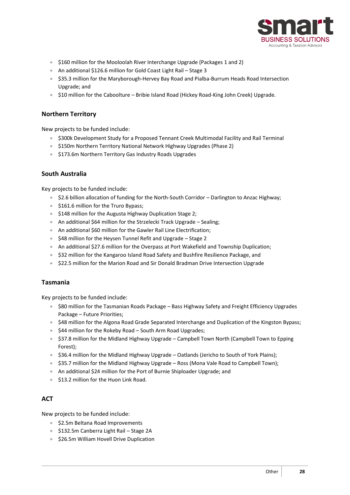

- \$160 million for the Mooloolah River Interchange Upgrade (Packages 1 and 2)
- An additional \$126.6 million for Gold Coast Light Rail Stage 3
- \$35.3 million for the Maryborough-Hervey Bay Road and Pialba-Burrum Heads Road Intersection Upgrade; and
- \$10 million for the Caboolture Bribie Island Road (Hickey Road-King John Creek) Upgrade.

#### <span id="page-27-0"></span>**Northern Territory**

New projects to be funded include:

- \$300k Development Study for a Proposed Tennant Creek Multimodal Facility and Rail Terminal
- \$150m Northern Territory National Network Highway Upgrades (Phase 2)
- \$173.6m Northern Territory Gas Industry Roads Upgrades

#### <span id="page-27-1"></span>**South Australia**

Key projects to be funded include:

- \$2.6 billion allocation of funding for the North-South Corridor Darlington to Anzac Highway;
- \$161.6 million for the Truro Bypass:
- \$148 million for the Augusta Highway Duplication Stage 2;
- An additional \$64 million for the Strzelecki Track Upgrade Sealing;
- An additional \$60 million for the Gawler Rail Line Electrification;
- \$48 million for the Heysen Tunnel Refit and Upgrade Stage 2
- An additional \$27.6 million for the Overpass at Port Wakefield and Township Duplication;
- \$32 million for the Kangaroo Island Road Safety and Bushfire Resilience Package, and
- \$22.5 million for the Marion Road and Sir Donald Bradman Drive Intersection Upgrade

#### <span id="page-27-2"></span>**Tasmania**

Key projects to be funded include:

- \$80 million for the Tasmanian Roads Package Bass Highway Safety and Freight Efficiency Upgrades Package – Future Priorities;
- \$48 million for the Algona Road Grade Separated Interchange and Duplication of the Kingston Bypass;
- \$44 million for the Rokeby Road South Arm Road Upgrades;
- \$37.8 million for the Midland Highway Upgrade Campbell Town North (Campbell Town to Epping Forest);
- \$36.4 million for the Midland Highway Upgrade Oatlands (Jericho to South of York Plains);
- \$35.7 million for the Midland Highway Upgrade Ross (Mona Vale Road to Campbell Town);
- An additional \$24 million for the Port of Burnie Shiploader Upgrade; and
- \$13.2 million for the Huon Link Road.

#### <span id="page-27-3"></span>**ACT**

New projects to be funded include:

- \$2.5m Beltana Road Improvements
- \$132.5m Canberra Light Rail Stage 2A
- \$26.5m William Hovell Drive Duplication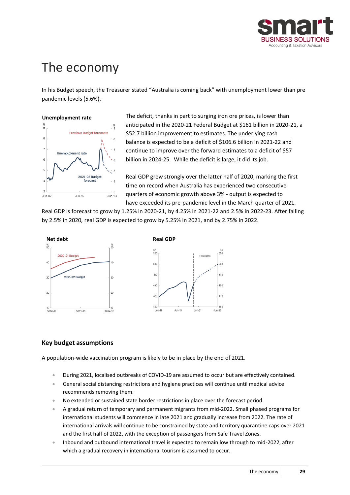

# <span id="page-28-0"></span>The economy

In his Budget speech, the Treasurer stated "Australia is coming back" with unemployment lower than pre pandemic levels (5.6%).

#### **Unemployment rate**



The deficit, thanks in part to surging iron ore prices, is lower than anticipated in the 2020-21 Federal Budget at \$161 billion in 2020-21, a \$52.7 billion improvement to estimates. The underlying cash balance is expected to be a deficit of \$106.6 billion in 2021-22 and continue to improve over the forward estimates to a deficit of \$57 billion in 2024-25. While the deficit is large, it did its job.

Real GDP grew strongly over the latter half of 2020, marking the first time on record when Australia has experienced two consecutive quarters of economic growth above 3% - output is expected to have exceeded its pre-pandemic level in the March quarter of 2021.

Real GDP is forecast to grow by 1.25% in 2020-21, by 4.25% in 2021-22 and 2.5% in 2022-23. After falling by 2.5% in 2020, real GDP is expected to grow by 5.25% in 2021, and by 2.75% in 2022.



#### <span id="page-28-1"></span>**Key budget assumptions**

A population-wide vaccination program is likely to be in place by the end of 2021.

- During 2021, localised outbreaks of COVID-19 are assumed to occur but are effectively contained.
- General social distancing restrictions and hygiene practices will continue until medical advice recommends removing them.
- No extended or sustained state border restrictions in place over the forecast period.
- A gradual return of temporary and permanent migrants from mid-2022. Small phased programs for international students will commence in late 2021 and gradually increase from 2022. The rate of international arrivals will continue to be constrained by state and territory quarantine caps over 2021 and the first half of 2022, with the exception of passengers from Safe Travel Zones.
- Inbound and outbound international travel is expected to remain low through to mid-2022, after which a gradual recovery in international tourism is assumed to occur.